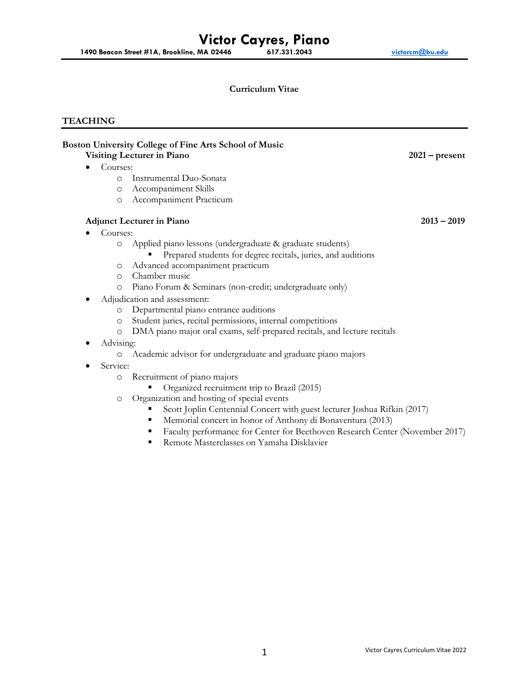## **Curriculum Vitae**

# **TEACHING**

|   |           | Boston University College of Fine Arts School of Music<br>Visiting Lecturer in Piano | $2021$ – present |
|---|-----------|--------------------------------------------------------------------------------------|------------------|
|   | Courses:  |                                                                                      |                  |
|   | $\circ$   | Instrumental Duo-Sonata                                                              |                  |
|   | $\circ$   | Accompaniment Skills                                                                 |                  |
|   | $\circ$   | Accompaniment Practicum                                                              |                  |
|   |           | <b>Adjunct Lecturer in Piano</b>                                                     | $2013 - 2019$    |
|   | Courses:  |                                                                                      |                  |
|   | $\circ$   | Applied piano lessons (undergraduate & graduate students)                            |                  |
|   |           | Prepared students for degree recitals, juries, and auditions                         |                  |
|   | $\circ$   | Advanced accompaniment practicum                                                     |                  |
|   | $\circ$   | Chamber music                                                                        |                  |
|   | $\circ$   | Piano Forum & Seminars (non-credit; undergraduate only)                              |                  |
| ٠ |           | Adjudication and assessment:                                                         |                  |
|   | $\circ$   | Departmental piano entrance auditions                                                |                  |
|   | $\circ$   | Student juries, recital permissions, internal competitions                           |                  |
|   | $\circ$   | DMA piano major oral exams, self-prepared recitals, and lecture recitals             |                  |
| ٠ | Advising: |                                                                                      |                  |
|   | $\circ$   | Academic advisor for undergraduate and graduate piano majors                         |                  |
|   | Service:  |                                                                                      |                  |
|   | $\circ$   | Recruitment of piano majors                                                          |                  |
|   |           | Organized recruitment trip to Brazil (2015)                                          |                  |
|   | $\circ$   | Organization and hosting of special events                                           |                  |
|   |           | Scott Joplin Centennial Concert with guest lecturer Joshua Rifkin (2017)             |                  |
|   |           | Memorial concert in honor of Anthony di Bonaventura (2013)<br>٠                      |                  |
|   |           | Faculty performance for Center for Beethoven Research Center (November 2017)<br>٠    |                  |
|   |           |                                                                                      |                  |

**Remote Masterclasses on Yamaha Disklavier**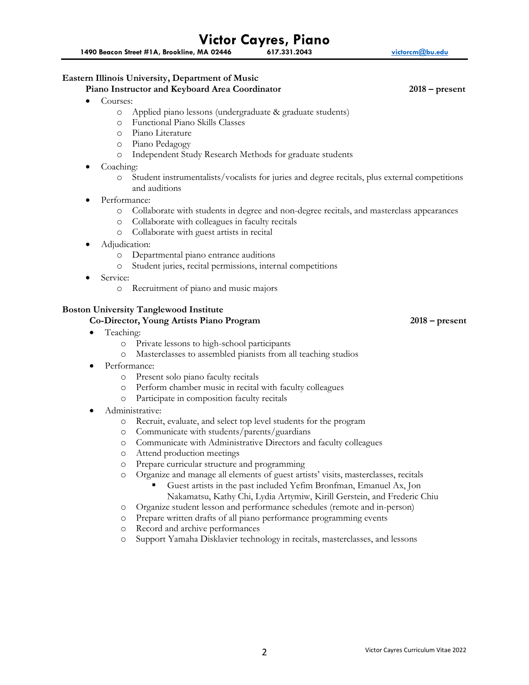**1490 Beacon Street #1A, Brookline, MA 02446 617.331.2043 [victorcm@bu.edu](mailto:victorcm@bu.edu)**

## **Eastern Illinois University, Department of Music**

#### **Piano Instructor and Keyboard Area Coordinator 2018 – present**

- Courses:
	- o Applied piano lessons (undergraduate & graduate students)
	- o Functional Piano Skills Classes
	- o Piano Literature
	- o Piano Pedagogy
	- o Independent Study Research Methods for graduate students
- Coaching:
	- o Student instrumentalists/vocalists for juries and degree recitals, plus external competitions and auditions
- Performance:
	- o Collaborate with students in degree and non-degree recitals, and masterclass appearances
	- o Collaborate with colleagues in faculty recitals
	- o Collaborate with guest artists in recital
- Adjudication:
	- o Departmental piano entrance auditions
	- o Student juries, recital permissions, internal competitions
- Service:
	- o Recruitment of piano and music majors

## **Boston University Tanglewood Institute**

## **Co-Director, Young Artists Piano Program 2018 – present**

- Teaching:
	- o Private lessons to high-school participants
	- o Masterclasses to assembled pianists from all teaching studios
- Performance:
	- o Present solo piano faculty recitals
	- o Perform chamber music in recital with faculty colleagues
	- o Participate in composition faculty recitals
- Administrative:
	- o Recruit, evaluate, and select top level students for the program
	- o Communicate with students/parents/guardians
	- o Communicate with Administrative Directors and faculty colleagues
	- o Attend production meetings
	- o Prepare curricular structure and programming
	- o Organize and manage all elements of guest artists' visits, masterclasses, recitals
		- Guest artists in the past included Yefim Bronfman, Emanuel Ax, Jon Nakamatsu, Kathy Chi, Lydia Artymiw, Kirill Gerstein, and Frederic Chiu
	- o Organize student lesson and performance schedules (remote and in-person)
	- o Prepare written drafts of all piano performance programming events
	- o Record and archive performances
	- o Support Yamaha Disklavier technology in recitals, masterclasses, and lessons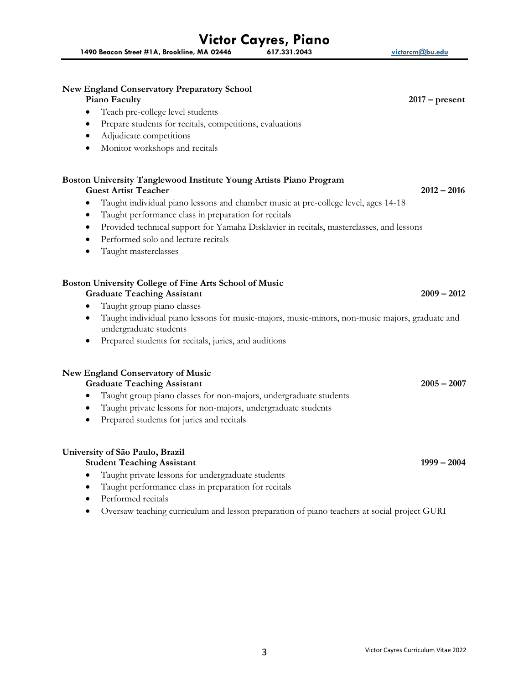|           | <b>New England Conservatory Preparatory School</b>                                                                       |                  |
|-----------|--------------------------------------------------------------------------------------------------------------------------|------------------|
|           | Piano Faculty                                                                                                            | $2017$ – present |
| $\bullet$ | Teach pre-college level students                                                                                         |                  |
|           | Prepare students for recitals, competitions, evaluations                                                                 |                  |
| ٠         | Adjudicate competitions                                                                                                  |                  |
| $\bullet$ | Monitor workshops and recitals                                                                                           |                  |
|           | Boston University Tanglewood Institute Young Artists Piano Program<br><b>Guest Artist Teacher</b>                        | $2012 - 2016$    |
|           | Taught individual piano lessons and chamber music at pre-college level, ages 14-18                                       |                  |
| ٠         | Taught performance class in preparation for recitals                                                                     |                  |
| $\bullet$ | Provided technical support for Yamaha Disklavier in recitals, masterclasses, and lessons                                 |                  |
| $\bullet$ | Performed solo and lecture recitals                                                                                      |                  |
| $\bullet$ | Taught masterclasses                                                                                                     |                  |
|           | <b>Boston University College of Fine Arts School of Music</b>                                                            |                  |
|           | <b>Graduate Teaching Assistant</b>                                                                                       | $2009 - 2012$    |
| ٠         | Taught group piano classes                                                                                               |                  |
| $\bullet$ | Taught individual piano lessons for music-majors, music-minors, non-music majors, graduate and<br>undergraduate students |                  |
|           | Prepared students for recitals, juries, and auditions                                                                    |                  |

# **New England Conservatory of Music**

# **Graduate Teaching Assistant 2005 – 2007**

- Taught group piano classes for non-majors, undergraduate students
- Taught private lessons for non-majors, undergraduate students
- Prepared students for juries and recitals

# **University of São Paulo, Brazil**

# **Student Teaching Assistant 1999 – 2004**

- Taught private lessons for undergraduate students
- Taught performance class in preparation for recitals
- Performed recitals
- Oversaw teaching curriculum and lesson preparation of piano teachers at social project GURI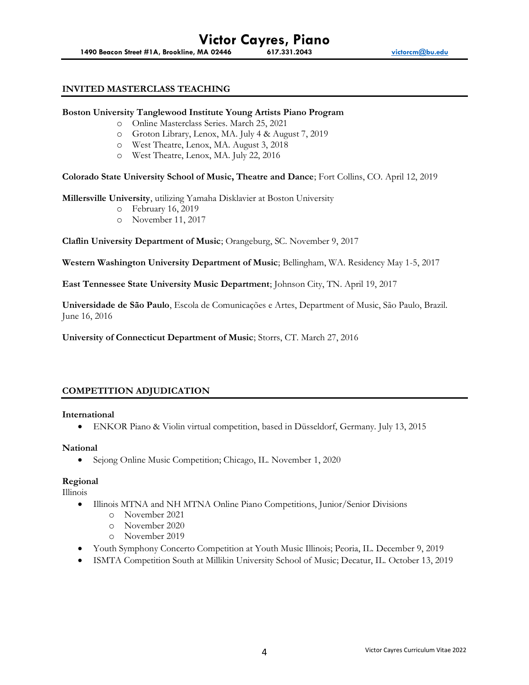## **INVITED MASTERCLASS TEACHING**

#### **Boston University Tanglewood Institute Young Artists Piano Program**

- o Online Masterclass Series. March 25, 2021
- o Groton Library, Lenox, MA. July 4 & August 7, 2019
- o West Theatre, Lenox, MA. August 3, 2018
- o West Theatre, Lenox, MA. July 22, 2016

**Colorado State University School of Music, Theatre and Dance**; Fort Collins, CO. April 12, 2019

**Millersville University**, utilizing Yamaha Disklavier at Boston University

- o February 16, 2019
- o November 11, 2017

**Claflin University Department of Music**; Orangeburg, SC. November 9, 2017

**Western Washington University Department of Music**; Bellingham, WA. Residency May 1-5, 2017

**East Tennessee State University Music Department**; Johnson City, TN. April 19, 2017

**Universidade de São Paulo**, Escola de Comunicações e Artes, Department of Music, São Paulo, Brazil. June 16, 2016

**University of Connecticut Department of Music**; Storrs, CT. March 27, 2016

## **COMPETITION ADJUDICATION**

#### **International**

• ENKOR Piano & Violin virtual competition, based in Düsseldorf, Germany. July 13, 2015

#### **National**

• Sejong Online Music Competition; Chicago, IL. November 1, 2020

## **Regional**

Illinois

- Illinois MTNA and NH MTNA Online Piano Competitions, Junior/Senior Divisions
	- o November 2021
	- o November 2020
	- o November 2019
- Youth Symphony Concerto Competition at Youth Music Illinois; Peoria, IL. December 9, 2019
- ISMTA Competition South at Millikin University School of Music; Decatur, IL. October 13, 2019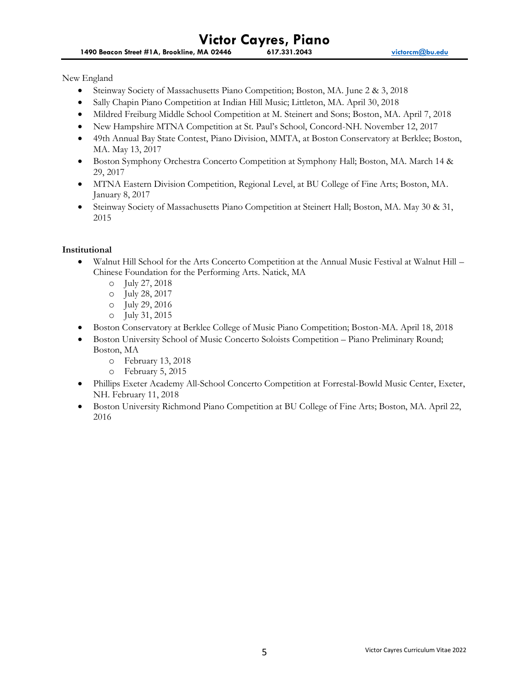New England

- Steinway Society of Massachusetts Piano Competition; Boston, MA. June 2 & 3, 2018
- Sally Chapin Piano Competition at Indian Hill Music; Littleton, MA. April 30, 2018
- Mildred Freiburg Middle School Competition at M. Steinert and Sons; Boston, MA. April 7, 2018
- New Hampshire MTNA Competition at St. Paul's School, Concord-NH. November 12, 2017
- 49th Annual Bay State Contest, Piano Division, MMTA, at Boston Conservatory at Berklee; Boston, MA. May 13, 2017
- Boston Symphony Orchestra Concerto Competition at Symphony Hall; Boston, MA. March 14 & 29, 2017
- MTNA Eastern Division Competition, Regional Level, at BU College of Fine Arts; Boston, MA. January 8, 2017
- Steinway Society of Massachusetts Piano Competition at Steinert Hall; Boston, MA. May 30 & 31, 2015

# **Institutional**

- Walnut Hill School for the Arts Concerto Competition at the Annual Music Festival at Walnut Hill Chinese Foundation for the Performing Arts. Natick, MA
	- o July 27, 2018
	- o July 28, 2017
	- o July 29, 2016
	- o July 31, 2015
- Boston Conservatory at Berklee College of Music Piano Competition; Boston-MA. April 18, 2018
- Boston University School of Music Concerto Soloists Competition Piano Preliminary Round; Boston, MA
	- o February 13, 2018
	- o February 5, 2015
- Phillips Exeter Academy All-School Concerto Competition at Forrestal-Bowld Music Center, Exeter, NH. February 11, 2018
- Boston University Richmond Piano Competition at BU College of Fine Arts; Boston, MA. April 22, 2016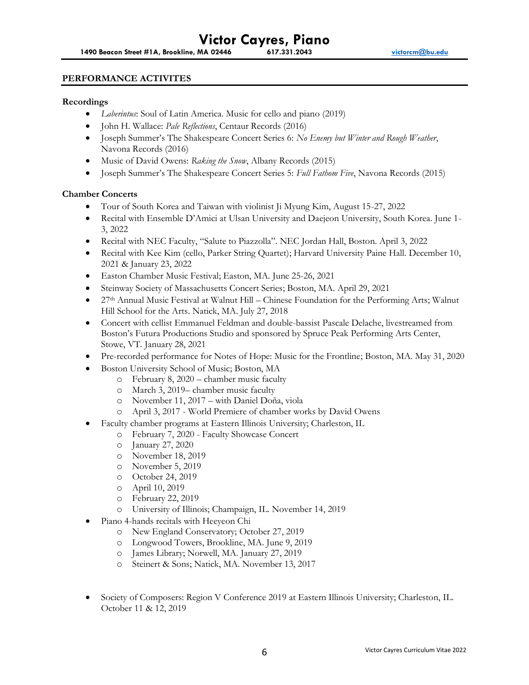## **PERFORMANCE ACTIVITES**

#### **Recordings**

- *Laberintus*: Soul of Latin America. Music for cello and piano (2019)
- John H. Wallace: *Pale Reflections*, Centaur Records (2016)
- Joseph Summer's The Shakespeare Concert Series 6: *No Enemy but Winter and Rough Weather*, Navona Records (2016)
- Music of David Owens: *Raking the Snow*, Albany Records (2015)
- Joseph Summer's The Shakespeare Concert Series 5: *Full Fathom Five*, Navona Records (2015)

## **Chamber Concerts**

- Tour of South Korea and Taiwan with violinist Ji Myung Kim, August 15-27, 2022
- Recital with Ensemble D'Amici at Ulsan University and Daejeon University, South Korea. June 1- 3, 2022
- Recital with NEC Faculty, "Salute to Piazzolla". NEC Jordan Hall, Boston. April 3, 2022
- Recital with Kee Kim (cello, Parker String Quartet); Harvard University Paine Hall. December 10, 2021 & January 23, 2022
- Easton Chamber Music Festival; Easton, MA. June 25-26, 2021
- Steinway Society of Massachusetts Concert Series; Boston, MA. April 29, 2021
- 27th Annual Music Festival at Walnut Hill Chinese Foundation for the Performing Arts; Walnut Hill School for the Arts. Natick, MA. July 27, 2018
- Concert with cellist Emmanuel Feldman and double-bassist Pascale Delache, livestreamed from Boston's Futura Productions Studio and sponsored by Spruce Peak Performing Arts Center, Stowe, VT. January 28, 2021
- Pre-recorded performance for Notes of Hope: Music for the Frontline; Boston, MA. May 31, 2020
- Boston University School of Music; Boston, MA
	- o February 8, 2020 chamber music faculty
	- o March 3, 2019– chamber music faculty
	- o November 11, 2017 with Daniel Doña, viola
	- o April 3, 2017 World Premiere of chamber works by David Owens
- Faculty chamber programs at Eastern Illinois University; Charleston, IL
	- o February 7, 2020 Faculty Showcase Concert
	- o January 27, 2020
	- o November 18, 2019
	- o November 5, 2019
	- o October 24, 2019
	- o April 10, 2019
	- o February 22, 2019
	- o University of Illinois; Champaign, IL. November 14, 2019
- Piano 4-hands recitals with Heeyeon Chi
	- o New England Conservatory; October 27, 2019
	- o Longwood Towers, Brookline, MA. June 9, 2019
	- o James Library; Norwell, MA. January 27, 2019
	- o Steinert & Sons; Natick, MA. November 13, 2017
- Society of Composers: Region V Conference 2019 at Eastern Illinois University; Charleston, IL. October 11 & 12, 2019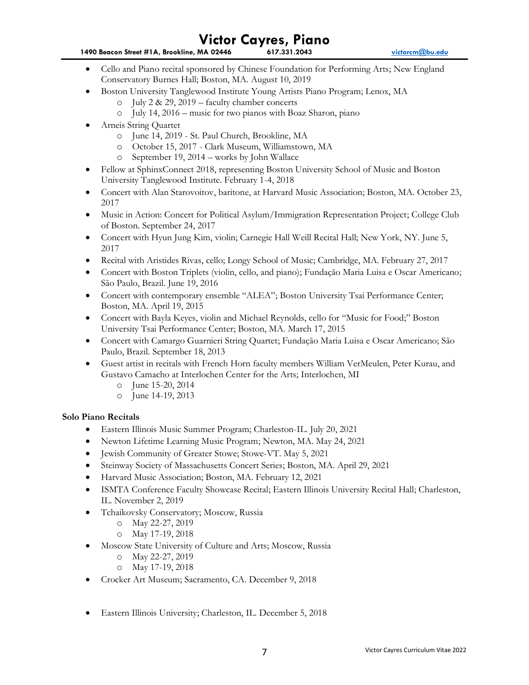**1490 Beacon Street #1A, Brookline, MA 02446 617.331.2043 [victorcm@bu.edu](mailto:victorcm@bu.edu)**

- Cello and Piano recital sponsored by Chinese Foundation for Performing Arts; New England Conservatory Burnes Hall; Boston, MA. August 10, 2019
- Boston University Tanglewood Institute Young Artists Piano Program; Lenox, MA
	- o July 2 & 29, 2019 faculty chamber concerts
	- o July 14, 2016 music for two pianos with Boaz Sharon, piano
- Arneis String Quartet
	- o June 14, 2019 St. Paul Church, Brookline, MA
	- o October 15, 2017 Clark Museum, Williamstown, MA
	- o September 19, 2014 works by John Wallace
- Fellow at SphinxConnect 2018, representing Boston University School of Music and Boston University Tanglewood Institute. February 1-4, 2018
- Concert with Alan Starovoitov, baritone, at Harvard Music Association; Boston, MA. October 23, 2017
- Music in Action: Concert for Political Asylum/Immigration Representation Project; College Club of Boston. September 24, 2017
- Concert with Hyun Jung Kim, violin; Carnegie Hall Weill Recital Hall; New York, NY. June 5, 2017
- Recital with Aristides Rivas, cello; Longy School of Music; Cambridge, MA. February 27, 2017
- Concert with Boston Triplets (violin, cello, and piano); Fundação Maria Luisa e Oscar Americano; São Paulo, Brazil. June 19, 2016
- Concert with contemporary ensemble "ALEA"; Boston University Tsai Performance Center; Boston, MA. April 19, 2015
- Concert with Bayla Keyes, violin and Michael Reynolds, cello for "Music for Food;" Boston University Tsai Performance Center; Boston, MA. March 17, 2015
- Concert with Camargo Guarnieri String Quartet; Fundação Maria Luisa e Oscar Americano; São Paulo, Brazil. September 18, 2013
- Guest artist in recitals with French Horn faculty members William VerMeulen, Peter Kurau, and Gustavo Camacho at Interlochen Center for the Arts; Interlochen, MI
	- o June 15-20, 2014
	- o June 14-19, 2013

## **Solo Piano Recitals**

- Eastern Illinois Music Summer Program; Charleston-IL. July 20, 2021
- Newton Lifetime Learning Music Program; Newton, MA. May 24, 2021
- Jewish Community of Greater Stowe; Stowe-VT. May 5, 2021
- Steinway Society of Massachusetts Concert Series; Boston, MA. April 29, 2021
- Harvard Music Association; Boston, MA. February 12, 2021
- ISMTA Conference Faculty Showcase Recital; Eastern Illinois University Recital Hall; Charleston, IL. November 2, 2019
- Tchaikovsky Conservatory; Moscow, Russia
	- o May 22-27, 2019
	- o May 17-19, 2018
- Moscow State University of Culture and Arts; Moscow, Russia
	- o May 22-27, 2019
	- o May 17-19, 2018
- Crocker Art Museum; Sacramento, CA. December 9, 2018
- Eastern Illinois University; Charleston, IL. December 5, 2018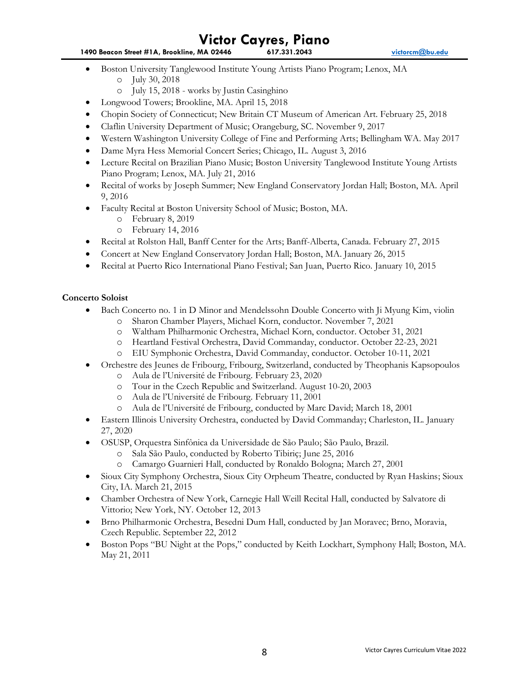- **1490 Beacon Street #1A, Brookline, MA 02446 617.331.2043 [victorcm@bu.edu](mailto:victorcm@bu.edu)**
- Boston University Tanglewood Institute Young Artists Piano Program; Lenox, MA
	- o July 30, 2018
	- o July 15, 2018 works by Justin Casinghino
- Longwood Towers; Brookline, MA. April 15, 2018
- Chopin Society of Connecticut; New Britain CT Museum of American Art. February 25, 2018
- Claflin University Department of Music; Orangeburg, SC. November 9, 2017
- Western Washington University College of Fine and Performing Arts; Bellingham WA. May 2017
- Dame Myra Hess Memorial Concert Series; Chicago, IL. August 3, 2016
- Lecture Recital on Brazilian Piano Music; Boston University Tanglewood Institute Young Artists Piano Program; Lenox, MA. July 21, 2016
- Recital of works by Joseph Summer; New England Conservatory Jordan Hall; Boston, MA. April 9, 2016
- Faculty Recital at Boston University School of Music; Boston, MA.
	- o February 8, 2019
	- o February 14, 2016
- Recital at Rolston Hall, Banff Center for the Arts; Banff-Alberta, Canada. February 27, 2015
- Concert at New England Conservatory Jordan Hall; Boston, MA. January 26, 2015
- Recital at Puerto Rico International Piano Festival; San Juan, Puerto Rico. January 10, 2015

# **Concerto Soloist**

- Bach Concerto no. 1 in D Minor and Mendelssohn Double Concerto with Ji Myung Kim, violin
	- o Sharon Chamber Players, Michael Korn, conductor. November 7, 2021
	- o Waltham Philharmonic Orchestra, Michael Korn, conductor. October 31, 2021
	- o Heartland Festival Orchestra, David Commanday, conductor. October 22-23, 2021
	- o EIU Symphonic Orchestra, David Commanday, conductor. October 10-11, 2021
- Orchestre des Jeunes de Fribourg, Fribourg, Switzerland, conducted by Theophanis Kapsopoulos
	- o Aula de l'Université de Fribourg. February 23, 2020
	- o Tour in the Czech Republic and Switzerland. August 10-20, 2003
	- o Aula de l'Université de Fribourg. February 11, 2001
	- o Aula de l'Université de Fribourg, conducted by Marc David; March 18, 2001
- Eastern Illinois University Orchestra, conducted by David Commanday; Charleston, IL. January 27, 2020
- OSUSP, Orquestra Sinfônica da Universidade de São Paulo; São Paulo, Brazil.
	- o Sala São Paulo, conducted by Roberto Tibiriç; June 25, 2016
	- o Camargo Guarnieri Hall, conducted by Ronaldo Bologna; March 27, 2001
- Sioux City Symphony Orchestra, Sioux City Orpheum Theatre, conducted by Ryan Haskins; Sioux City, IA. March 21, 2015
- Chamber Orchestra of New York, Carnegie Hall Weill Recital Hall, conducted by Salvatore di Vittorio; New York, NY. October 12, 2013
- Brno Philharmonic Orchestra, Besedni Dum Hall, conducted by Jan Moravec; Brno, Moravia, Czech Republic. September 22, 2012
- Boston Pops "BU Night at the Pops," conducted by Keith Lockhart, Symphony Hall; Boston, MA. May 21, 2011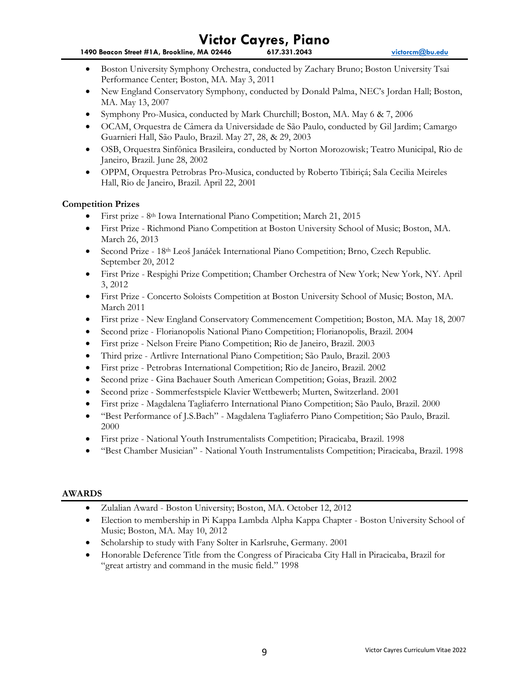- **1490 Beacon Street #1A, Brookline, MA 02446 617.331.2043 [victorcm@bu.edu](mailto:victorcm@bu.edu)**
- Boston University Symphony Orchestra, conducted by Zachary Bruno; Boston University Tsai Performance Center; Boston, MA. May 3, 2011
- New England Conservatory Symphony, conducted by Donald Palma, NEC's Jordan Hall; Boston, MA. May 13, 2007
- Symphony Pro-Musica, conducted by Mark Churchill; Boston, MA. May 6 & 7, 2006
- OCAM, Orquestra de Câmera da Universidade de São Paulo, conducted by Gil Jardim; Camargo Guarnieri Hall, São Paulo, Brazil. May 27, 28, & 29, 2003
- OSB, Orquestra Sinfônica Brasileira, conducted by Norton Morozowisk; Teatro Municipal, Rio de Janeiro, Brazil. June 28, 2002
- OPPM, Orquestra Petrobras Pro-Musica, conducted by Roberto Tibiriçá; Sala Cecilia Meireles Hall, Rio de Janeiro, Brazil. April 22, 2001

# **Competition Prizes**

- First prize 8<sup>th</sup> Iowa International Piano Competition; March 21, 2015
- First Prize Richmond Piano Competition at Boston University School of Music; Boston, MA. March 26, 2013
- Second Prize 18th Leoš Janáček International Piano Competition; Brno, Czech Republic. September 20, 2012
- First Prize Respighi Prize Competition; Chamber Orchestra of New York; New York, NY. April 3, 2012
- First Prize Concerto Soloists Competition at Boston University School of Music; Boston, MA. March 2011
- First prize New England Conservatory Commencement Competition; Boston, MA. May 18, 2007
- Second prize Florianopolis National Piano Competition; Florianopolis, Brazil. 2004
- First prize Nelson Freire Piano Competition; Rio de Janeiro, Brazil. 2003
- Third prize Artlivre International Piano Competition; São Paulo, Brazil. 2003
- First prize Petrobras International Competition; Rio de Janeiro, Brazil. 2002
- Second prize Gina Bachauer South American Competition; Goias, Brazil. 2002
- Second prize Sommerfestspiele Klavier Wettbewerb; Murten, Switzerland. 2001
- First prize Magdalena Tagliaferro International Piano Competition; São Paulo, Brazil. 2000
- "Best Performance of J.S.Bach" Magdalena Tagliaferro Piano Competition; São Paulo, Brazil. 2000
- First prize National Youth Instrumentalists Competition; Piracicaba, Brazil. 1998
- "Best Chamber Musician" National Youth Instrumentalists Competition; Piracicaba, Brazil. 1998

# **AWARDS**

- Zulalian Award Boston University; Boston, MA. October 12, 2012
- Election to membership in Pi Kappa Lambda Alpha Kappa Chapter Boston University School of Music; Boston, MA. May 10, 2012
- Scholarship to study with Fany Solter in Karlsruhe, Germany. 2001
- Honorable Deference Title from the Congress of Piracicaba City Hall in Piracicaba, Brazil for "great artistry and command in the music field." 1998